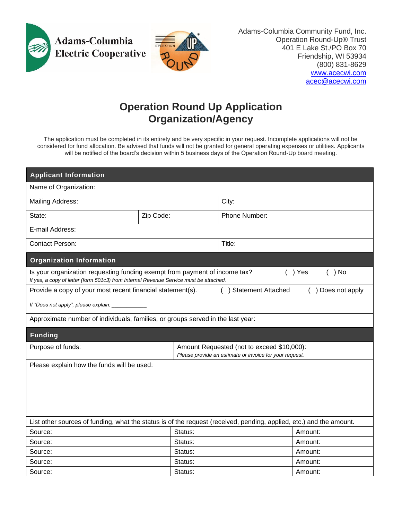



Adams-Columbia Community Fund, Inc. Operation Round-Up® Trust 401 E Lake St./PO Box 70 Friendship, WI 53934 (800) 831-8629 [www.acecwi.com](http://www.acecwi.com/) [acec@acecwi.com](mailto:acec@acecwi.com)

## **Operation Round Up Application Organization/Agency**

The application must be completed in its entirety and be very specific in your request. Incomplete applications will not be considered for fund allocation. Be advised that funds will not be granted for general operating expenses or utilities. Applicants will be notified of the board's decision within 5 business days of the Operation Round-Up board meeting.

| <b>Applicant Information</b>                                                                                                                                                                 |           |         |                                                                                                       |         |  |  |  |
|----------------------------------------------------------------------------------------------------------------------------------------------------------------------------------------------|-----------|---------|-------------------------------------------------------------------------------------------------------|---------|--|--|--|
| Name of Organization:                                                                                                                                                                        |           |         |                                                                                                       |         |  |  |  |
| Mailing Address:                                                                                                                                                                             |           |         | City:                                                                                                 |         |  |  |  |
| State:                                                                                                                                                                                       | Zip Code: |         | Phone Number:                                                                                         |         |  |  |  |
| E-mail Address:                                                                                                                                                                              |           |         |                                                                                                       |         |  |  |  |
| <b>Contact Person:</b>                                                                                                                                                                       |           |         | Title:                                                                                                |         |  |  |  |
| <b>Organization Information</b>                                                                                                                                                              |           |         |                                                                                                       |         |  |  |  |
| $( )$ Yes<br>$( )$ No<br>Is your organization requesting funding exempt from payment of income tax?<br>If yes, a copy of letter (form 501c3) from Internal Revenue Service must be attached. |           |         |                                                                                                       |         |  |  |  |
| Provide a copy of your most recent financial statement(s).<br>) Statement Attached<br>) Does not apply                                                                                       |           |         |                                                                                                       |         |  |  |  |
| If "Does not apply", please explain:                                                                                                                                                         |           |         |                                                                                                       |         |  |  |  |
| Approximate number of individuals, families, or groups served in the last year:                                                                                                              |           |         |                                                                                                       |         |  |  |  |
| <b>Funding</b>                                                                                                                                                                               |           |         |                                                                                                       |         |  |  |  |
| Purpose of funds:                                                                                                                                                                            |           |         | Amount Requested (not to exceed \$10,000):<br>Please provide an estimate or invoice for your request. |         |  |  |  |
| Please explain how the funds will be used:                                                                                                                                                   |           |         |                                                                                                       |         |  |  |  |
|                                                                                                                                                                                              |           |         |                                                                                                       |         |  |  |  |
|                                                                                                                                                                                              |           |         |                                                                                                       |         |  |  |  |
|                                                                                                                                                                                              |           |         |                                                                                                       |         |  |  |  |
|                                                                                                                                                                                              |           |         |                                                                                                       |         |  |  |  |
| List other sources of funding, what the status is of the request (received, pending, applied, etc.) and the amount.                                                                          |           |         |                                                                                                       |         |  |  |  |
|                                                                                                                                                                                              |           |         |                                                                                                       |         |  |  |  |
| Source:                                                                                                                                                                                      |           | Status: |                                                                                                       | Amount: |  |  |  |
| Source:                                                                                                                                                                                      |           | Status: |                                                                                                       | Amount: |  |  |  |
| Source:                                                                                                                                                                                      |           | Status: |                                                                                                       | Amount: |  |  |  |
| Source:                                                                                                                                                                                      |           | Status: |                                                                                                       | Amount: |  |  |  |